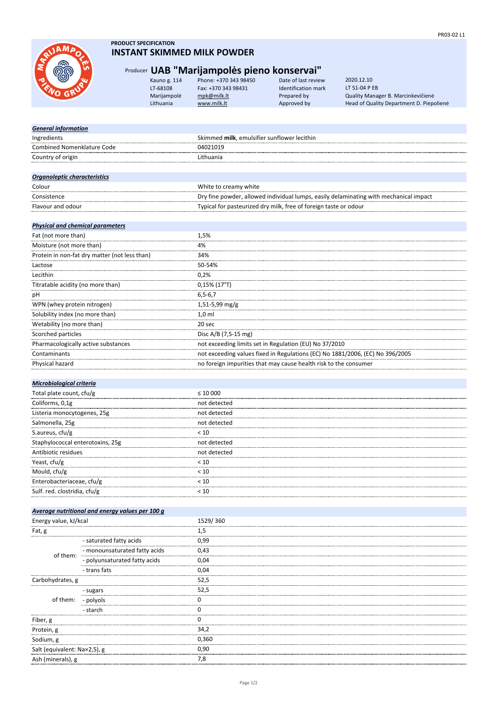

### **PRODUCT SPECIFICATION INSTANT SKIMMED MILK POWDER**

## Producer **UAB "Marijampolės pieno konservai"**

| Kauno g. 114 | Phone: +370 343 98450 | Date of last review        |
|--------------|-----------------------|----------------------------|
| LT-68108     | Fax: +370 343 98431   | <b>Identification mark</b> |
| Marijampolė  | mpk@milk.lt           | Prepared by                |
| Lithuania    | www.milk.lt           | Approved by                |

Marijampolė [mpk@milk.lt](mailto:mpk@milk.lt) Prepared by Quality Manager B. Marcinkevičienė Lithuania metallich [www.milk.lt](http://www.milk.lt/) Approved by Head of Quality Department D. Piepolienė 2020.12.10 LT 51-04 P EB

| <b>General information</b>              |                                                 |                                                                                       |  |  |
|-----------------------------------------|-------------------------------------------------|---------------------------------------------------------------------------------------|--|--|
| Ingredients                             |                                                 | Skimmed milk, emulsifier sunflower lecithin                                           |  |  |
| Combined Nomenklature Code              |                                                 | 04021019                                                                              |  |  |
| Country of origin                       |                                                 | Lithuania                                                                             |  |  |
|                                         |                                                 |                                                                                       |  |  |
| Organoleptic characteristics            |                                                 |                                                                                       |  |  |
| Colour                                  |                                                 | White to creamy white                                                                 |  |  |
| Consistence                             |                                                 | Dry fine powder, allowed individual lumps, easily delaminating with mechanical impact |  |  |
| Flavour and odour                       |                                                 | Typical for pasteurized dry milk, free of foreign taste or odour                      |  |  |
|                                         |                                                 |                                                                                       |  |  |
| <b>Physical and chemical parameters</b> |                                                 |                                                                                       |  |  |
| Fat (not more than)                     |                                                 | 1,5%                                                                                  |  |  |
| Moisture (not more than)                |                                                 | 4%                                                                                    |  |  |
|                                         | Protein in non-fat dry matter (not less than)   | 34%                                                                                   |  |  |
| Lactose                                 |                                                 | 50-54%                                                                                |  |  |
| Lecithin                                |                                                 | 0,2%                                                                                  |  |  |
| Titratable acidity (no more than)       |                                                 | $0,15\%$ (17°T)                                                                       |  |  |
| pH                                      |                                                 | $6, 5 - 6, 7$                                                                         |  |  |
| WPN (whey protein nitrogen)             |                                                 | 1,51-5,99 mg/g                                                                        |  |  |
| Solubility index (no more than)         |                                                 | $1,0$ ml                                                                              |  |  |
| Wetability (no more than)               |                                                 | 20 sec                                                                                |  |  |
| Scorched particles                      |                                                 | Disc A/B (7,5-15 mg)                                                                  |  |  |
| Pharmacologically active substances     |                                                 | not exceeding limits set in Regulation (EU) No 37/2010                                |  |  |
| Contaminants                            |                                                 | not exceeding values fixed in Regulations (EC) No 1881/2006, (EC) No 396/2005         |  |  |
| Physical hazard                         |                                                 | no foreign impurities that may cause health risk to the consumer                      |  |  |
|                                         |                                                 |                                                                                       |  |  |
| <b>Microbiological criteria</b>         |                                                 |                                                                                       |  |  |
| Total plate count, cfu/g                |                                                 | $\leq 10000$                                                                          |  |  |
| Coliforms, 0,1g                         |                                                 | not detected                                                                          |  |  |
| Listeria monocytogenes, 25g             |                                                 | not detected                                                                          |  |  |
| Salmonella, 25g                         |                                                 | not detected                                                                          |  |  |
| S.aureus, cfu/g                         |                                                 | < 10                                                                                  |  |  |
| Staphylococcal enterotoxins, 25g        |                                                 | not detected                                                                          |  |  |
| Antibiotic residues                     |                                                 | not detected                                                                          |  |  |
| Yeast, cfu/g                            |                                                 | < 10                                                                                  |  |  |
| Mould, cfu/g                            |                                                 | < 10                                                                                  |  |  |
| Enterobacteriaceae, cfu/g               |                                                 | < 10                                                                                  |  |  |
| Sulf. red. clostridia, cfu/g            |                                                 | < 10                                                                                  |  |  |
|                                         |                                                 |                                                                                       |  |  |
|                                         | Average nutritional and energy values per 100 g |                                                                                       |  |  |
| Energy value, kJ/kcal                   |                                                 | 1529/360                                                                              |  |  |
| Fat, g                                  |                                                 | 1,5                                                                                   |  |  |
|                                         | - saturated fatty acids                         | 0,99                                                                                  |  |  |
|                                         | - monounsaturated fatty acids                   | 0,43                                                                                  |  |  |
| of them:                                | - polyunsaturated fatty acids                   | 0,04                                                                                  |  |  |
|                                         | - trans fats                                    | 0,04                                                                                  |  |  |
|                                         |                                                 | 52,5                                                                                  |  |  |
| Carbohydrates, g                        |                                                 | 52,5                                                                                  |  |  |
|                                         | - sugars                                        | 0                                                                                     |  |  |
| of them:                                | - polyols                                       | 0                                                                                     |  |  |
| - starch                                |                                                 |                                                                                       |  |  |
| Fiber, g                                |                                                 | 0                                                                                     |  |  |
| Protein, g                              |                                                 | 34,2                                                                                  |  |  |
| Sodium, g                               |                                                 | 0,360                                                                                 |  |  |
| Salt (equivalent: Na×2,5), g            |                                                 | 0,90                                                                                  |  |  |
| Ash (minerals), g                       |                                                 | 7,8                                                                                   |  |  |